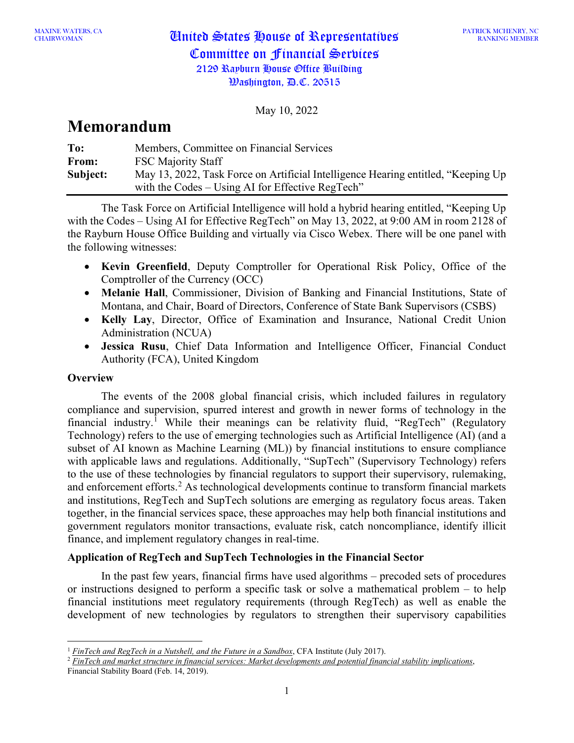# CHAIRWOMAN United States House of Representatives Committee on Financial Services 2129 Rayburn House Office Building  $\mathcal{W}$ ashington,  $\mathcal{P}$ .C. 20515

May 10, 2022

## **Memorandum**

| To:      | Members, Committee on Financial Services                                           |
|----------|------------------------------------------------------------------------------------|
| From:    | <b>FSC Majority Staff</b>                                                          |
| Subject: | May 13, 2022, Task Force on Artificial Intelligence Hearing entitled, "Keeping Up" |
|          | with the Codes – Using AI for Effective RegTech"                                   |

The Task Force on Artificial Intelligence will hold a hybrid hearing entitled, "Keeping Up with the Codes – Using AI for Effective RegTech" on May 13, 2022, at 9:00 AM in room 2128 of the Rayburn House Office Building and virtually via Cisco Webex. There will be one panel with the following witnesses:

- **Kevin Greenfield**, Deputy Comptroller for Operational Risk Policy, Office of the Comptroller of the Currency (OCC)
- **Melanie Hall**, Commissioner, Division of Banking and Financial Institutions, State of Montana, and Chair, Board of Directors, Conference of State Bank Supervisors (CSBS)
- **Kelly Lay**, Director, Office of Examination and Insurance, National Credit Union Administration (NCUA)
- **Jessica Rusu**, Chief Data Information and Intelligence Officer, Financial Conduct Authority (FCA), United Kingdom

## **Overview**

The events of the 2008 global financial crisis, which included failures in regulatory compliance and supervision, spurred interest and growth in newer forms of technology in the financial industry.<sup>[1](#page-0-0)</sup> While their meanings can be relativity fluid, "RegTech" (Regulatory Technology) refers to the use of emerging technologies such as Artificial Intelligence (AI) (and a subset of AI known as Machine Learning (ML)) by financial institutions to ensure compliance with applicable laws and regulations. Additionally, "SupTech" (Supervisory Technology) refers to the use of these technologies by financial regulators to support their supervisory, rulemaking, and enforcement efforts.<sup>[2](#page-0-1)</sup> As technological developments continue to transform financial markets and institutions, RegTech and SupTech solutions are emerging as regulatory focus areas. Taken together, in the financial services space, these approaches may help both financial institutions and government regulators monitor transactions, evaluate risk, catch noncompliance, identify illicit finance, and implement regulatory changes in real-time.

## **Application of RegTech and SupTech Technologies in the Financial Sector**

In the past few years, financial firms have used algorithms – precoded sets of procedures or instructions designed to perform a specific task or solve a mathematical problem – to help financial institutions meet regulatory requirements (through RegTech) as well as enable the development of new technologies by regulators to strengthen their supervisory capabilities

<span id="page-0-0"></span><sup>&</sup>lt;sup>1</sup> *[FinTech and RegTech in a Nutshell, and the Future in a Sandbox](https://www.cfainstitute.org/en/research/foundation/2017/fintech-and-RegTech-in-a-nutshell-and-the-future-in-a-sandbox), CFA Institute (July 2017).* 

<span id="page-0-1"></span><sup>2</sup> *[FinTech and market structure in financial services: Market developments and potential financial stability implications](https://www.fsb.org/2019/02/fintech-and-market-structure-in-financial-services-market-developments-and-potential-financial-stability-implications/)*, Financial Stability Board (Feb. 14, 2019).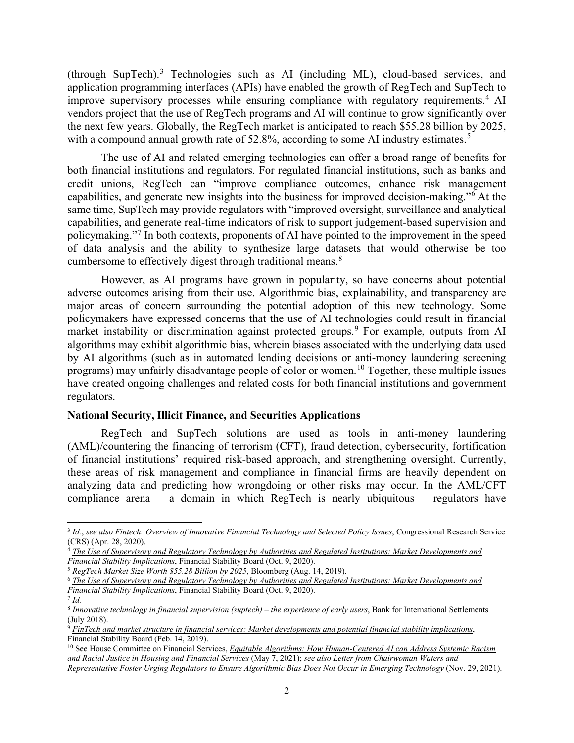(through SupTech). [3](#page-1-0) Technologies such as AI (including ML), cloud-based services, and application programming interfaces (APIs) have enabled the growth of RegTech and SupTech to improve supervisory processes while ensuring compliance with regulatory requirements. [4](#page-1-1) AI vendors project that the use of RegTech programs and AI will continue to grow significantly over the next few years. Globally, the RegTech market is anticipated to reach \$55.28 billion by 2025, with a compound annual growth rate of [5](#page-1-2)2.8%, according to some AI industry estimates.<sup>5</sup>

The use of AI and related emerging technologies can offer a broad range of benefits for both financial institutions and regulators. For regulated financial institutions, such as banks and credit unions, RegTech can "improve compliance outcomes, enhance risk management capabilities, and generate new insights into the business for improved decision-making."[6](#page-1-3) At the same time, SupTech may provide regulators with "improved oversight, surveillance and analytical capabilities, and generate real-time indicators of risk to support judgement-based supervision and policymaking."[7](#page-1-4) In both contexts, proponents of AI have pointed to the improvement in the speed of data analysis and the ability to synthesize large datasets that would otherwise be too cumbersome to effectively digest through traditional means.<sup>[8](#page-1-5)</sup>

However, as AI programs have grown in popularity, so have concerns about potential adverse outcomes arising from their use. Algorithmic bias, explainability, and transparency are major areas of concern surrounding the potential adoption of this new technology. Some policymakers have expressed concerns that the use of AI technologies could result in financial market instability or discrimination against protected groups.<sup>[9](#page-1-6)</sup> For example, outputs from AI algorithms may exhibit algorithmic bias, wherein biases associated with the underlying data used by AI algorithms (such as in automated lending decisions or anti-money laundering screening programs) may unfairly disadvantage people of color or women.<sup>[10](#page-1-7)</sup> Together, these multiple issues have created ongoing challenges and related costs for both financial institutions and government regulators.

#### **National Security, Illicit Finance, and Securities Applications**

RegTech and SupTech solutions are used as tools in anti-money laundering (AML)/countering the financing of terrorism (CFT), fraud detection, cybersecurity, fortification of financial institutions' required risk-based approach, and strengthening oversight. Currently, these areas of risk management and compliance in financial firms are heavily dependent on analyzing data and predicting how wrongdoing or other risks may occur. In the AML/CFT compliance arena – a domain in which RegTech is nearly ubiquitous – regulators have

<span id="page-1-4"></span> $\overline{7}$  *Id.* 

<span id="page-1-0"></span><sup>3</sup> *Id.*; *see also [Fintech: Overview of Innovative Financial Technology and Selected Policy Issues](https://www.everycrsreport.com/files/20200428_R46332_dcd8c91752b0b495f09a19118d49f4e9eca7cd7f.pdf)*, Congressional Research Service (CRS) (Apr. 28, 2020).

<span id="page-1-1"></span><sup>&</sup>lt;sup>4</sup> The Use of Supervisory and Regulatory Technology by Authorities and Regulated Institutions: Market Developments and *[Financial Stability Implications](https://www.fsb.org/2020/10/the-use-of-supervisory-and-regulatory-technology-by-authorities-and-regulated-institutions-market-developments-and-financial-stability-implications/)*, Financial Stability Board (Oct. 9, 2020).

<sup>5</sup> *RegTech [Market Size Worth \\$55.28 Billion by 2025](https://www.bloomberg.com/press-releases/2019-08-14/regtech-market-size-worth-55-28-billion-by-2025-cagr-52-8-grand-view-research-inc)*, Bloomberg (Aug. 14, 2019).

<span id="page-1-3"></span><span id="page-1-2"></span><sup>6</sup> *[The Use of Supervisory and Regulatory Technology by Authorities and Regulated Institutions: Market Developments and](https://www.fsb.org/2020/10/the-use-of-supervisory-and-regulatory-technology-by-authorities-and-regulated-institutions-market-developments-and-financial-stability-implications/)  [Financial Stability Implications](https://www.fsb.org/2020/10/the-use-of-supervisory-and-regulatory-technology-by-authorities-and-regulated-institutions-market-developments-and-financial-stability-implications/)*, Financial Stability Board (Oct. 9, 2020).

<span id="page-1-5"></span><sup>8</sup> *[Innovative technology in financial supervision](https://www.bis.org/fsi/publ/insights9.pdf) (suptech) – the experience of early users*, Bank for International Settlements (July 2018).

<span id="page-1-6"></span><sup>9</sup> *[FinTech and market structure in financial services: Market developments and potential financial stability implications](https://www.fsb.org/2019/02/fintech-and-market-structure-in-financial-services-market-developments-and-potential-financial-stability-implications/)*, Financial Stability Board (Feb. 14, 2019).

<span id="page-1-7"></span><sup>&</sup>lt;sup>10</sup> See House Committee on Financial Services, *Equitable Algorithms: How Human-Centered AI can Address Systemic Racism [and Racial Justice in Housing and Financial Services](https://financialservices.house.gov/events/eventsingle.aspx?EventID=407749)* (May 7, 2021); *see also [Letter from Chairwoman Waters and](https://financialservices.house.gov/news/documentsingle.aspx?DocumentID=408850)  [Representative Foster Urging Regulators to Ensure Algorithmic Bias Does Not Occur in](https://financialservices.house.gov/news/documentsingle.aspx?DocumentID=408850) Emerging Technology* (Nov. 29, 2021).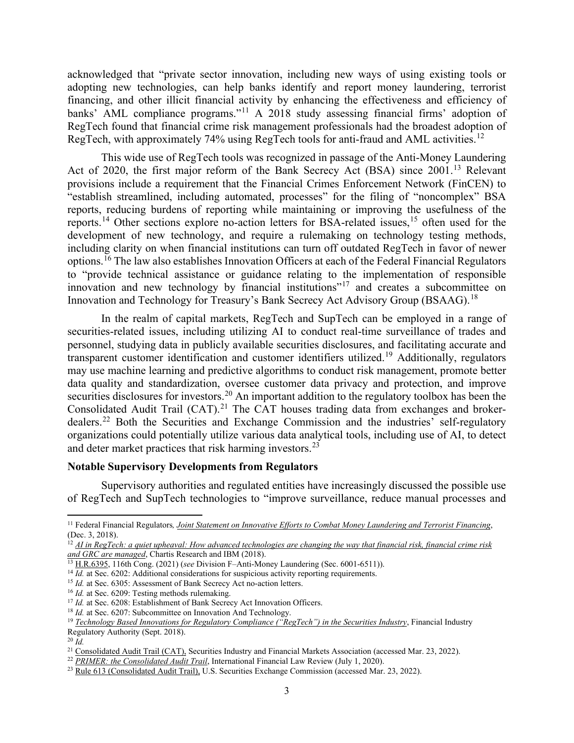acknowledged that "private sector innovation, including new ways of using existing tools or adopting new technologies, can help banks identify and report money laundering, terrorist financing, and other illicit financial activity by enhancing the effectiveness and efficiency of banks' AML compliance programs."<sup>[11](#page-2-0)</sup> A 2018 study assessing financial firms' adoption of RegTech found that financial crime risk management professionals had the broadest adoption of RegTech, with approximately 74% using RegTech tools for anti-fraud and AML activities.<sup>[12](#page-2-1)</sup>

This wide use of RegTech tools was recognized in passage of the Anti-Money Laundering Act of 2020, the first major reform of the Bank Secrecy Act (BSA) since 2001.<sup>[13](#page-2-2)</sup> Relevant provisions include a requirement that the Financial Crimes Enforcement Network (FinCEN) to "establish streamlined, including automated, processes" for the filing of "noncomplex" BSA reports, reducing burdens of reporting while maintaining or improving the usefulness of the reports.<sup>[14](#page-2-3)</sup> Other sections explore no-action letters for BSA-related issues, <sup>[15](#page-2-4)</sup> often used for the development of new technology, and require a rulemaking on technology testing methods, including clarity on when financial institutions can turn off outdated RegTech in favor of newer options.[16](#page-2-5) The law also establishes Innovation Officers at each of the Federal Financial Regulators to "provide technical assistance or guidance relating to the implementation of responsible innovation and new technology by financial institutions"[17](#page-2-6) and creates a subcommittee on Innovation and Technology for Treasury's Bank Secrecy Act Advisory Group (BSAAG).<sup>[18](#page-2-7)</sup>

In the realm of capital markets, RegTech and SupTech can be employed in a range of securities-related issues, including utilizing AI to conduct real-time surveillance of trades and personnel, studying data in publicly available securities disclosures, and facilitating accurate and transparent customer identification and customer identifiers utilized.<sup>[19](#page-2-8)</sup> Additionally, regulators may use machine learning and predictive algorithms to conduct risk management, promote better data quality and standardization, oversee customer data privacy and protection, and improve securities disclosures for investors.<sup>[20](#page-2-9)</sup> An important addition to the regulatory toolbox has been the Consolidated Audit Trail  $(CAT)$ .<sup>[21](#page-2-10)</sup> The CAT houses trading data from exchanges and broker-dealers.<sup>[22](#page-2-11)</sup> Both the Securities and Exchange Commission and the industries' self-regulatory organizations could potentially utilize various data analytical tools, including use of AI, to detect and deter market practices that risk harming investors.<sup>[23](#page-2-12)</sup>

#### **Notable Supervisory Developments from Regulators**

Supervisory authorities and regulated entities have increasingly discussed the possible use of RegTech and SupTech technologies to "improve surveillance, reduce manual processes and

<span id="page-2-0"></span><sup>11</sup> Federal Financial Regulators*, Joint Statement on Innovative Efforts to Combat Money Laundering and Terrorist Financing*, (Dec. 3, 2018). 12 *AI in RegTech: a quiet upheaval: How advanced technologies are changing the way that financial risk, financial crime risk* 

<span id="page-2-1"></span>*and GRC are managed*, Chartis Research and IBM (2018).

<span id="page-2-2"></span><sup>13</sup> H.R.6395, 116th Cong. (2021) (*see* Division F–Anti-Money Laundering (Sec. 6001-6511)).

<span id="page-2-3"></span><sup>&</sup>lt;sup>14</sup> *Id.* at Sec. 6202: Additional considerations for suspicious activity reporting requirements.

<span id="page-2-4"></span><sup>&</sup>lt;sup>15</sup> *Id.* at Sec. 6305: Assessment of Bank Secrecy Act no-action letters.

<span id="page-2-5"></span><sup>&</sup>lt;sup>16</sup> *Id.* at Sec. 6209: Testing methods rulemaking.

<span id="page-2-7"></span><span id="page-2-6"></span><sup>&</sup>lt;sup>17</sup> *Id.* at Sec. 6208: Establishment of Bank Secrecy Act Innovation Officers.

<sup>&</sup>lt;sup>18</sup> *Id.* at Sec. 6207: Subcommittee on Innovation And Technology.

<span id="page-2-8"></span><sup>19</sup> *Technology Based Innovations for Regulatory Compliance ("RegTech") in the Securities Industry*, Financial Industry Regulatory Authority (Sept. 2018).

<span id="page-2-9"></span><sup>20</sup> *Id.*

<span id="page-2-10"></span><sup>&</sup>lt;sup>21</sup> Consolidated Audit Trail (CAT), Securities Industry and Financial Markets Association (accessed Mar. 23, 2022).

<span id="page-2-11"></span><sup>22</sup> *PRIMER: the Consolidated Audit Trail*, International Financial Law Review (July 1, 2020).

<span id="page-2-12"></span><sup>&</sup>lt;sup>23</sup> Rule 613 (Consolidated Audit Trail), U.S. Securities Exchange Commission (accessed Mar. 23, 2022).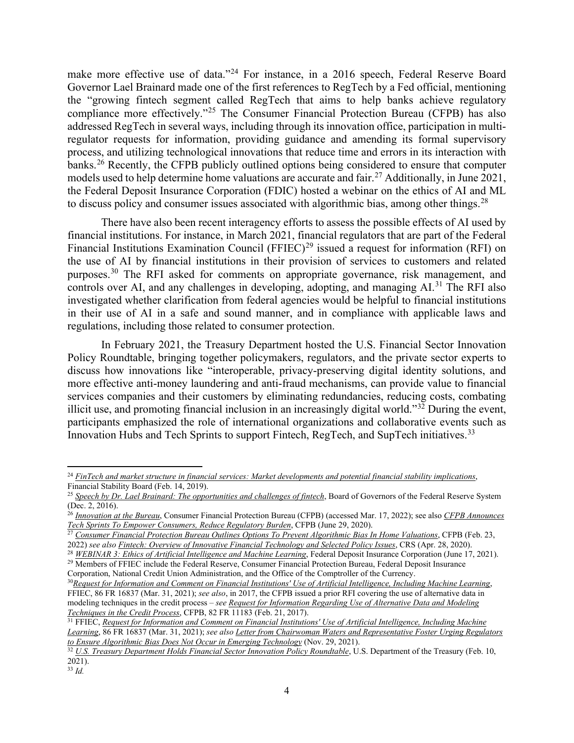make more effective use of data."[24](#page-3-0) For instance, in a 2016 speech, Federal Reserve Board Governor Lael Brainard made one of the first references to RegTech by a Fed official, mentioning the "growing fintech segment called RegTech that aims to help banks achieve regulatory compliance more effectively."<sup>[25](#page-3-1)</sup> The Consumer Financial Protection Bureau (CFPB) has also addressed RegTech in several ways, including through its innovation office, participation in multiregulator requests for information, providing guidance and amending its formal supervisory process, and utilizing technological innovations that reduce time and errors in its interaction with banks.<sup>[26](#page-3-2)</sup> Recently, the CFPB publicly outlined options being considered to ensure that computer models used to help determine home valuations are accurate and fair.<sup>[27](#page-3-3)</sup> Additionally, in June 2021, the Federal Deposit Insurance Corporation (FDIC) hosted a webinar on the ethics of AI and ML to discuss policy and consumer issues associated with algorithmic bias, among other things.<sup>[28](#page-3-4)</sup>

There have also been recent interagency efforts to assess the possible effects of AI used by financial institutions. For instance, in March 2021, financial regulators that are part of the Federal Financial Institutions Examination Council (FFIEC)<sup>[29](#page-3-5)</sup> issued a request for information (RFI) on the use of AI by financial institutions in their provision of services to customers and related purposes.<sup>[30](#page-3-6)</sup> The RFI asked for comments on appropriate governance, risk management, and controls over AI, and any challenges in developing, adopting, and managing AI.<sup>[31](#page-3-7)</sup> The RFI also investigated whether clarification from federal agencies would be helpful to financial institutions in their use of AI in a safe and sound manner, and in compliance with applicable laws and regulations, including those related to consumer protection.

In February 2021, the Treasury Department hosted the U.S. Financial Sector Innovation Policy Roundtable, bringing together policymakers, regulators, and the private sector experts to discuss how innovations like "interoperable, privacy-preserving digital identity solutions, and more effective anti-money laundering and anti-fraud mechanisms, can provide value to financial services companies and their customers by eliminating redundancies, reducing costs, combating illicit use, and promoting financial inclusion in an increasingly digital world."[32](#page-3-8) During the event, participants emphasized the role of international organizations and collaborative events such as Innovation Hubs and Tech Sprints to support Fintech, RegTech, and SupTech initiatives.<sup>[33](#page-3-9)</sup>

<span id="page-3-0"></span><sup>24</sup> *FinTech and market structure in financial services: Market developments and potential financial stability implications*, Financial Stability Board (Feb. 14, 2019).

<span id="page-3-1"></span><sup>25</sup> *Speech by Dr. Lael Brainard: The opportunities and challenges of fintech*, Board of Governors of the Federal Reserve System (Dec. 2, 2016).

<span id="page-3-2"></span><sup>26</sup> *Innovation at the Bureau*, Consumer Financial Protection Bureau (CFPB) (accessed Mar. 17, 2022); see also *CFPB Announces Tech Sprints To Empower Consumers, Reduce Regulatory Burden*, CFPB (June 29, 2020).

<sup>27</sup> *Consumer Financial Protection Bureau Outlines Options To Prevent Algorithmic Bias In Home Valuations*, CFPB (Feb. 23,

<span id="page-3-3"></span><sup>2022)</sup> *see also Fintech: Overview of Innovative Financial Technology and Selected Policy Issues*, CRS (Apr. 28, 2020).

<span id="page-3-4"></span><sup>&</sup>lt;sup>28</sup> WEBINAR 3: Ethics of Artificial Intelligence and Machine Learning, Federal Deposit Insurance Corporation (June 17, 2021).<br><sup>29</sup> Members of FFIEC include the Federal Reserve, Consumer Financial Protection Bureau, Feder

<span id="page-3-5"></span>Corporation, National Credit Union Administration, and the Office of the Comptroller of the Currency.

<span id="page-3-6"></span><sup>&</sup>lt;sup>30</sup> Request for Information and Comment on Financial Institutions' Use of Artificial Intelligence, Including Machine Learning, FFIEC, 86 FR 16837 (Mar. 31, 2021); *see also*, in 2017, the CFPB issued a prior RFI covering the use of alternative data in modeling techniques in the credit process – *see Request for Information Regarding Use of Alternative Data and Modeling Techniques in the Credit Process*, CFPB, 82 FR 11183 (Feb. 21, 2017).

<span id="page-3-7"></span><sup>31</sup> FFIEC, *Request for Information and Comment on Financial Institutions' Use of Artificial Intelligence, Including Machine Learning*, 86 FR 16837 (Mar. 31, 2021); *see also Letter from Chairwoman Waters and Representative Foster Urging Regulators to Ensure Algorithmic Bias Does Not Occur in Emerging Technology* (Nov. 29, 2021).

<span id="page-3-8"></span><sup>32</sup> *U.S. Treasury Department Holds Financial Sector Innovation Policy Roundtable*, U.S. Department of the Treasury (Feb. 10, 2021).

<span id="page-3-9"></span><sup>33</sup> *Id.*